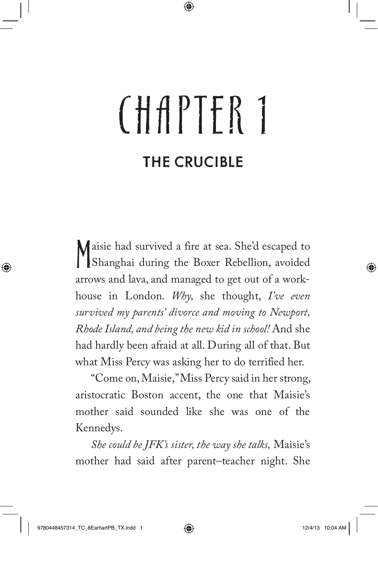## CHAPTER 1 THE CRUCIBLE

M aisie had survived a fire at sea. She'd escaped to Shanghai during the Boxer Rebellion, avoided arrows and lava, and managed to get out of a workhouse in London. *Why,* she thought, *I've even survived my parents' divorce and moving to Newport, Rhode Island, and being the new kid in school!* And she had hardly been afraid at all. During all of that. But what Miss Percy was asking her to do terrified her.

"Come on, Maisie," Miss Percy said in her strong, aristocratic Boston accent, the one that Maisie's mother said sounded like she was one of the Kennedys.

*She could be JFK's sister, the way she talks,* Maisie's mother had said after parent–teacher night. She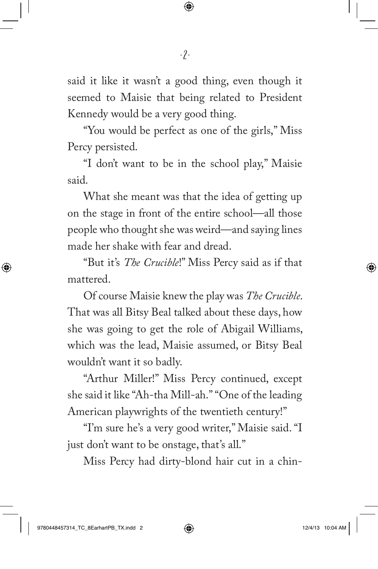said it like it wasn't a good thing, even though it seemed to Maisie that being related to President Kennedy would be a very good thing.

"You would be perfect as one of the girls," Miss Percy persisted.

"I don't want to be in the school play," Maisie said.

What she meant was that the idea of getting up on the stage in front of the entire school—all those people who thought she was weird—and saying lines made her shake with fear and dread.

"But it's *The Crucible*!" Miss Percy said as if that mattered.

Of course Maisie knew the play was *The Crucible*. That was all Bitsy Beal talked about these days, how she was going to get the role of Abigail Williams, which was the lead, Maisie assumed, or Bitsy Beal wouldn't want it so badly.

"Arthur Miller!" Miss Percy continued, except she said it like "Ah-tha Mill-ah.""One of the leading American playwrights of the twentieth century!"

"I'm sure he's a very good writer," Maisie said. "I just don't want to be onstage, that's all."

Miss Percy had dirty-blond hair cut in a chin-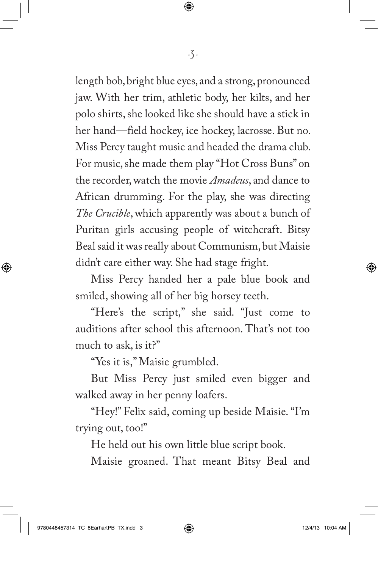length bob, bright blue eyes, and a strong, pronounced jaw. With her trim, athletic body, her kilts, and her polo shirts, she looked like she should have a stick in her hand—field hockey, ice hockey, lacrosse. But no. Miss Percy taught music and headed the drama club. For music, she made them play "Hot Cross Buns" on the recorder, watch the movie *Amadeus*, and dance to African drumming. For the play, she was directing *The Crucible*, which apparently was about a bunch of Puritan girls accusing people of witchcraft. Bitsy Beal said it was really about Communism, but Maisie didn't care either way. She had stage fright.

Miss Percy handed her a pale blue book and smiled, showing all of her big horsey teeth.

"Here's the script," she said. "Just come to auditions after school this afternoon. That's not too much to ask, is it?"

"Yes it is," Maisie grumbled.

But Miss Percy just smiled even bigger and walked away in her penny loafers.

"Hey!" Felix said, coming up beside Maisie. "I'm trying out, too!"

He held out his own little blue script book.

Maisie groaned. That meant Bitsy Beal and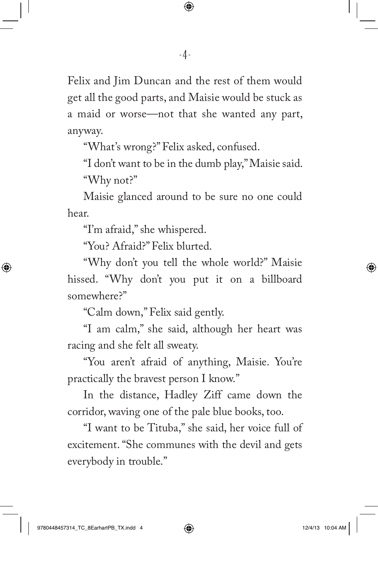Felix and Jim Duncan and the rest of them would get all the good parts, and Maisie would be stuck as a maid or worse—not that she wanted any part, anyway.

"What's wrong?" Felix asked, confused.

"I don't want to be in the dumb play," Maisie said. "Why not?"

Maisie glanced around to be sure no one could hear.

"I'm afraid," she whispered.

"You? Afraid?" Felix blurted.

"Why don't you tell the whole world?" Maisie hissed. "Why don't you put it on a billboard somewhere?"

"Calm down," Felix said gently.

"I am calm," she said, although her heart was racing and she felt all sweaty.

"You aren't afraid of anything, Maisie. You're practically the bravest person I know."

In the distance, Hadley Ziff came down the corridor, waving one of the pale blue books, too.

"I want to be Tituba," she said, her voice full of excitement. "She communes with the devil and gets everybody in trouble."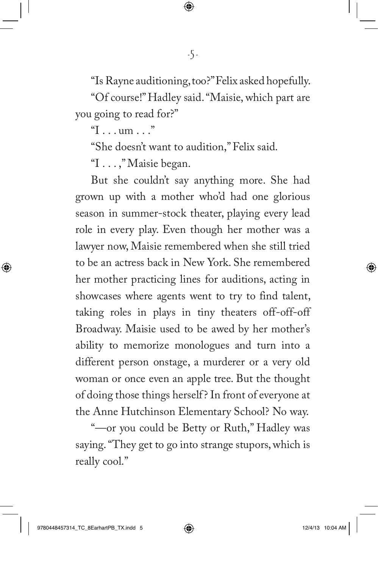"Is Rayne auditioning, too?" Felix asked hopefully.

"Of course!" Hadley said. "Maisie, which part are you going to read for?"

"I . . . um . . ."

"She doesn't want to audition," Felix said.

"I . . . ," Maisie began.

But she couldn't say anything more. She had grown up with a mother who'd had one glorious season in summer-stock theater, playing every lead role in every play. Even though her mother was a lawyer now, Maisie remembered when she still tried to be an actress back in New York. She remembered her mother practicing lines for auditions, acting in showcases where agents went to try to find talent, taking roles in plays in tiny theaters off-off-off Broadway. Maisie used to be awed by her mother's ability to memorize monologues and turn into a different person onstage, a murderer or a very old woman or once even an apple tree. But the thought of doing those things herself? In front of everyone at the Anne Hutchinson Elementary School? No way.

"—or you could be Betty or Ruth," Hadley was saying. "They get to go into strange stupors, which is really cool."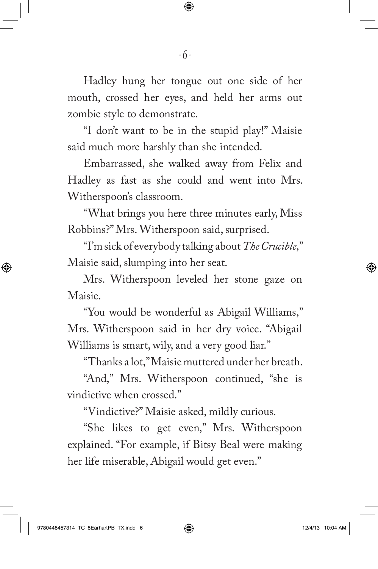Hadley hung her tongue out one side of her mouth, crossed her eyes, and held her arms out zombie style to demonstrate.

"I don't want to be in the stupid play!" Maisie said much more harshly than she intended.

Embarrassed, she walked away from Felix and Hadley as fast as she could and went into Mrs. Witherspoon's classroom.

"What brings you here three minutes early, Miss Robbins?" Mrs. Witherspoon said, surprised.

"I'm sick of everybody talking about *The Crucible*," Maisie said, slumping into her seat.

Mrs. Witherspoon leveled her stone gaze on Maisie.

"You would be wonderful as Abigail Williams," Mrs. Witherspoon said in her dry voice. "Abigail Williams is smart, wily, and a very good liar."

"Thanks a lot," Maisie muttered under her breath.

"And," Mrs. Witherspoon continued, "she is vindictive when crossed."

"Vindictive?" Maisie asked, mildly curious.

"She likes to get even," Mrs. Witherspoon explained. "For example, if Bitsy Beal were making her life miserable, Abigail would get even."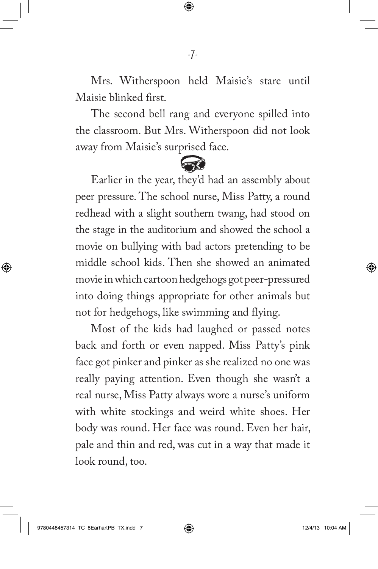Mrs. Witherspoon held Maisie's stare until Maisie blinked first.

The second bell rang and everyone spilled into the classroom. But Mrs. Witherspoon did not look away from Maisie's surprised face.

 $\rightarrow$ 

Earlier in the year, they'd had an assembly about peer pressure. The school nurse, Miss Patty, a round redhead with a slight southern twang, had stood on the stage in the auditorium and showed the school a movie on bullying with bad actors pretending to be middle school kids. Then she showed an animated movie in which cartoon hedgehogs got peer-pressured into doing things appropriate for other animals but not for hedgehogs, like swimming and flying.

Most of the kids had laughed or passed notes back and forth or even napped. Miss Patty's pink face got pinker and pinker as she realized no one was really paying attention. Even though she wasn't a real nurse, Miss Patty always wore a nurse's uniform with white stockings and weird white shoes. Her body was round. Her face was round. Even her hair, pale and thin and red, was cut in a way that made it look round, too.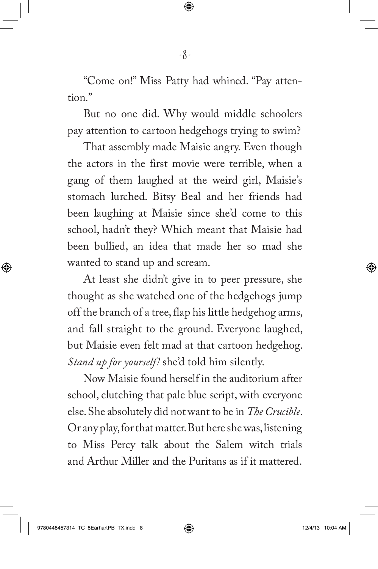"Come on!" Miss Patty had whined. "Pay attention."

But no one did. Why would middle schoolers pay attention to cartoon hedgehogs trying to swim?

That assembly made Maisie angry. Even though the actors in the first movie were terrible, when a gang of them laughed at the weird girl, Maisie's stomach lurched. Bitsy Beal and her friends had been laughing at Maisie since she'd come to this school, hadn't they? Which meant that Maisie had been bullied, an idea that made her so mad she wanted to stand up and scream.

At least she didn't give in to peer pressure, she thought as she watched one of the hedgehogs jump off the branch of a tree, flap his little hedgehog arms, and fall straight to the ground. Everyone laughed, but Maisie even felt mad at that cartoon hedgehog. *Stand up for yourself!* she'd told him silently.

Now Maisie found herself in the auditorium after school, clutching that pale blue script, with everyone else. She absolutely did not want to be in *The Crucible*. Or any play, for that matter. But here she was, listening to Miss Percy talk about the Salem witch trials and Arthur Miller and the Puritans as if it mattered.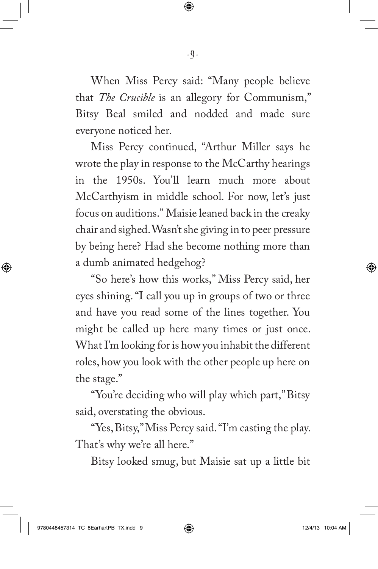When Miss Percy said: "Many people believe that *The Crucible* is an allegory for Communism," Bitsy Beal smiled and nodded and made sure everyone noticed her.

Miss Percy continued, "Arthur Miller says he wrote the play in response to the McCarthy hearings in the 1950s. You'll learn much more about McCarthyism in middle school. For now, let's just focus on auditions." Maisie leaned back in the creaky chair and sighed. Wasn't she giving in to peer pressure by being here? Had she become nothing more than a dumb animated hedgehog?

"So here's how this works," Miss Percy said, her eyes shining. "I call you up in groups of two or three and have you read some of the lines together. You might be called up here many times or just once. What I'm looking for is how you inhabit the different roles, how you look with the other people up here on the stage."

"You're deciding who will play which part," Bitsy said, overstating the obvious.

"Yes, Bitsy," Miss Percy said. "I'm casting the play. That's why we're all here."

Bitsy looked smug, but Maisie sat up a little bit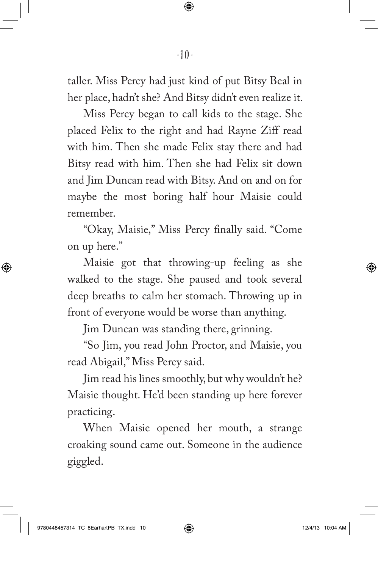taller. Miss Percy had just kind of put Bitsy Beal in her place, hadn't she? And Bitsy didn't even realize it.

Miss Percy began to call kids to the stage. She placed Felix to the right and had Rayne Ziff read with him. Then she made Felix stay there and had Bitsy read with him. Then she had Felix sit down and Jim Duncan read with Bitsy. And on and on for maybe the most boring half hour Maisie could remember.

"Okay, Maisie," Miss Percy finally said. "Come on up here."

Maisie got that throwing-up feeling as she walked to the stage. She paused and took several deep breaths to calm her stomach. Throwing up in front of everyone would be worse than anything.

Jim Duncan was standing there, grinning.

"So Jim, you read John Proctor, and Maisie, you read Abigail," Miss Percy said.

Jim read his lines smoothly, but why wouldn't he? Maisie thought. He'd been standing up here forever practicing.

When Maisie opened her mouth, a strange croaking sound came out. Someone in the audience giggled.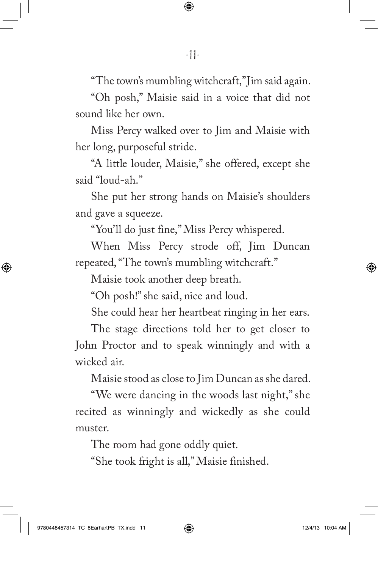"The town's mumbling witchcraft," Jim said again.

"Oh posh," Maisie said in a voice that did not sound like her own.

Miss Percy walked over to Jim and Maisie with her long, purposeful stride.

"A little louder, Maisie," she offered, except she said "loud-ah."

She put her strong hands on Maisie's shoulders and gave a squeeze.

"You'll do just fine," Miss Percy whispered.

When Miss Percy strode off, Jim Duncan repeated, "The town's mumbling witchcraft."

Maisie took another deep breath.

"Oh posh!" she said, nice and loud.

She could hear her heartbeat ringing in her ears.

The stage directions told her to get closer to John Proctor and to speak winningly and with a wicked air.

Maisie stood as close to Jim Duncan as she dared.

"We were dancing in the woods last night," she recited as winningly and wickedly as she could muster.

The room had gone oddly quiet.

"She took fright is all," Maisie finished.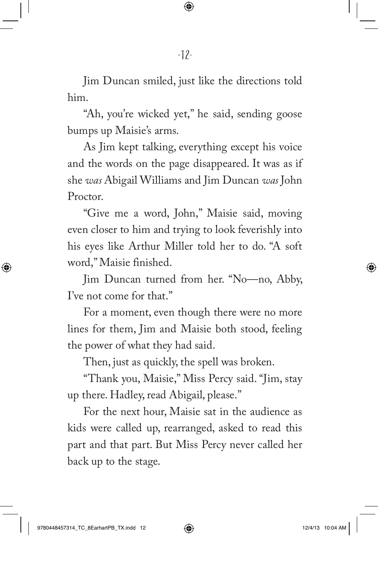Jim Duncan smiled, just like the directions told him.

"Ah, you're wicked yet," he said, sending goose bumps up Maisie's arms.

As Jim kept talking, everything except his voice and the words on the page disappeared. It was as if she *was* Abigail Williams and Jim Duncan *was* John Proctor.

"Give me a word, John," Maisie said, moving even closer to him and trying to look feverishly into his eyes like Arthur Miller told her to do. "A soft word," Maisie finished.

Jim Duncan turned from her. "No—no, Abby, I've not come for that."

For a moment, even though there were no more lines for them, Jim and Maisie both stood, feeling the power of what they had said.

Then, just as quickly, the spell was broken.

"Thank you, Maisie," Miss Percy said. "Jim, stay up there. Hadley, read Abigail, please."

For the next hour, Maisie sat in the audience as kids were called up, rearranged, asked to read this part and that part. But Miss Percy never called her back up to the stage.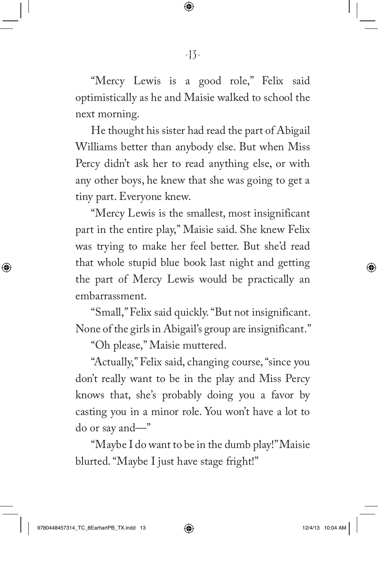"Mercy Lewis is a good role," Felix said optimistically as he and Maisie walked to school the next morning.

He thought his sister had read the part of Abigail Williams better than anybody else. But when Miss Percy didn't ask her to read anything else, or with any other boys, he knew that she was going to get a tiny part. Everyone knew.

"Mercy Lewis is the smallest, most insignificant part in the entire play," Maisie said. She knew Felix was trying to make her feel better. But she'd read that whole stupid blue book last night and getting the part of Mercy Lewis would be practically an embarrassment.

"Small," Felix said quickly. "But not insignificant. None of the girls in Abigail's group are insignificant."

"Oh please," Maisie muttered.

"Actually," Felix said, changing course, "since you don't really want to be in the play and Miss Percy knows that, she's probably doing you a favor by casting you in a minor role. You won't have a lot to do or say and—"

"Maybe I do want to be in the dumb play!" Maisie blurted. "Maybe I just have stage fright!"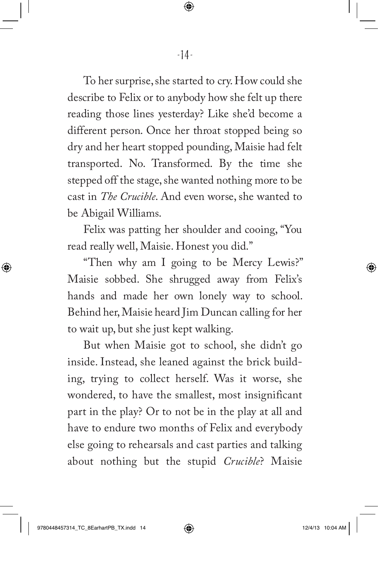To her surprise, she started to cry. How could she describe to Felix or to anybody how she felt up there reading those lines yesterday? Like she'd become a different person. Once her throat stopped being so dry and her heart stopped pounding, Maisie had felt transported. No. Transformed. By the time she stepped off the stage, she wanted nothing more to be cast in *The Crucible*. And even worse, she wanted to be Abigail Williams.

Felix was patting her shoulder and cooing, "You read really well, Maisie. Honest you did."

"Then why am I going to be Mercy Lewis?" Maisie sobbed. She shrugged away from Felix's hands and made her own lonely way to school. Behind her, Maisie heard Jim Duncan calling for her to wait up, but she just kept walking.

But when Maisie got to school, she didn't go inside. Instead, she leaned against the brick building, trying to collect herself. Was it worse, she wondered, to have the smallest, most insignificant part in the play? Or to not be in the play at all and have to endure two months of Felix and everybody else going to rehearsals and cast parties and talking about nothing but the stupid *Crucible*? Maisie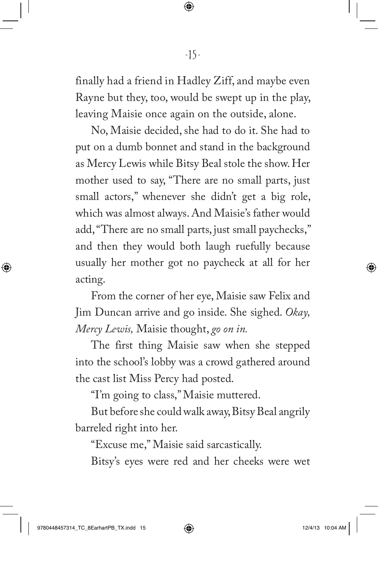finally had a friend in Hadley Ziff, and maybe even Rayne but they, too, would be swept up in the play, leaving Maisie once again on the outside, alone.

No, Maisie decided, she had to do it. She had to put on a dumb bonnet and stand in the background as Mercy Lewis while Bitsy Beal stole the show. Her mother used to say, "There are no small parts, just small actors," whenever she didn't get a big role, which was almost always. And Maisie's father would add, "There are no small parts, just small paychecks," and then they would both laugh ruefully because usually her mother got no paycheck at all for her acting.

From the corner of her eye, Maisie saw Felix and Jim Duncan arrive and go inside. She sighed. *Okay, Mercy Lewis,* Maisie thought, *go on in.*

The first thing Maisie saw when she stepped into the school's lobby was a crowd gathered around the cast list Miss Percy had posted.

"I'm going to class," Maisie muttered.

But before she could walk away, Bitsy Beal angrily barreled right into her.

"Excuse me," Maisie said sarcastically.

Bitsy's eyes were red and her cheeks were wet